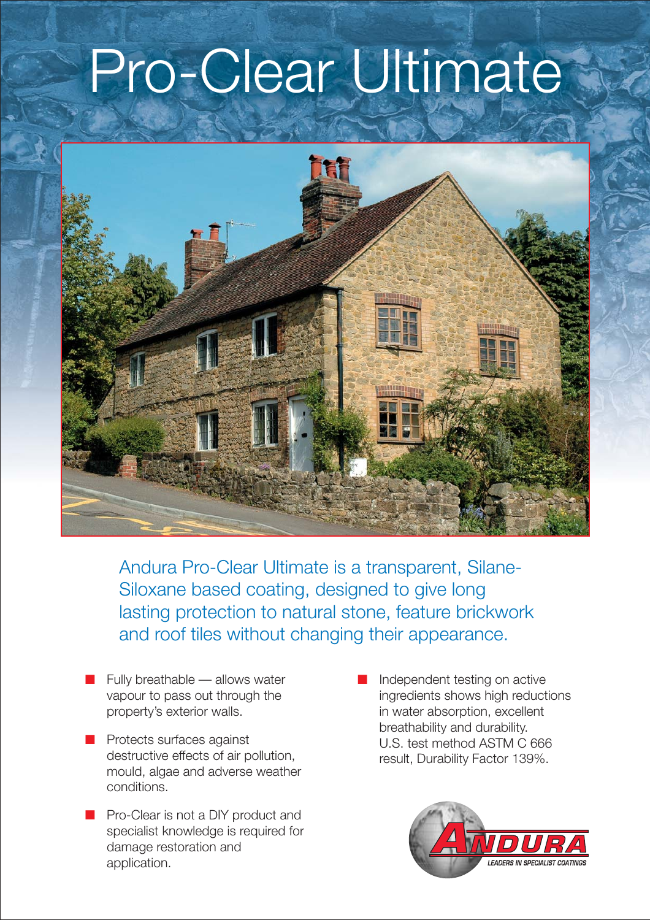## Pro-Clear Ultimate



Andura Pro-Clear Ultimate is a transparent, Silane-Siloxane based coating, designed to give long lasting protection to natural stone, feature brickwork and roof tiles without changing their appearance.

- Fully breathable allows water vapour to pass out through the property's exterior walls.
- Protects surfaces against destructive effects of air pollution, mould, algae and adverse weather conditions.
- Pro-Clear is not a DIY product and specialist knowledge is required for damage restoration and application.
- Independent testing on active ingredients shows high reductions in water absorption, excellent breathability and durability. U.S. test method ASTM C 666 result, Durability Factor 139%.